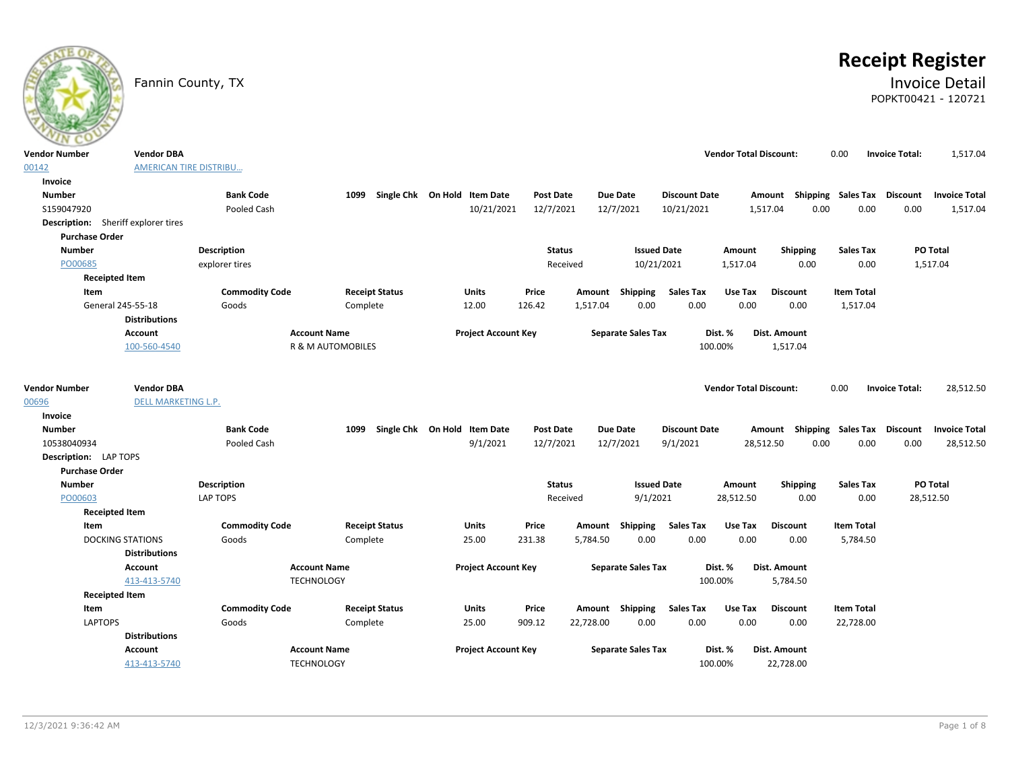

# **Receipt Register**

## Fannin County, TX **Invoice Detail** POPKT00421 - 120721

| <b>Vendor Number</b>  | <b>Vendor DBA</b>                          |                       |                       |                              |                  |                           |                              |                      | <b>Vendor Total Discount:</b> | 0.00                        | <b>Invoice Total:</b> | 1,517.04             |
|-----------------------|--------------------------------------------|-----------------------|-----------------------|------------------------------|------------------|---------------------------|------------------------------|----------------------|-------------------------------|-----------------------------|-----------------------|----------------------|
| 00142                 | <b>AMERICAN TIRE DISTRIBU</b>              |                       |                       |                              |                  |                           |                              |                      |                               |                             |                       |                      |
| Invoice               |                                            |                       |                       |                              |                  |                           |                              |                      |                               |                             |                       |                      |
| <b>Number</b>         |                                            | <b>Bank Code</b>      | 1099                  | Single Chk On Hold Item Date | <b>Post Date</b> | <b>Due Date</b>           |                              | <b>Discount Date</b> | Amount Shipping Sales Tax     |                             | <b>Discount</b>       | <b>Invoice Total</b> |
| S159047920            |                                            | Pooled Cash           |                       | 10/21/2021                   | 12/7/2021        | 12/7/2021                 | 10/21/2021                   |                      | 0.00<br>1,517.04              | 0.00                        | 0.00                  | 1,517.04             |
|                       | <b>Description:</b> Sheriff explorer tires |                       |                       |                              |                  |                           |                              |                      |                               |                             |                       |                      |
| <b>Purchase Order</b> |                                            |                       |                       |                              |                  |                           |                              |                      |                               |                             |                       |                      |
| <b>Number</b>         |                                            | <b>Description</b>    |                       |                              | <b>Status</b>    |                           | <b>Issued Date</b>           | Amount               | Shipping                      | <b>Sales Tax</b>            | PO Total              |                      |
| PO00685               |                                            | explorer tires        |                       |                              | Received         |                           | 10/21/2021                   | 1,517.04             | 0.00                          | 0.00                        | 1,517.04              |                      |
|                       | <b>Receipted Item</b>                      |                       |                       |                              |                  |                           |                              |                      |                               |                             |                       |                      |
| Item                  |                                            | <b>Commodity Code</b> | <b>Receipt Status</b> | Units                        | Price            | Amount Shipping           | <b>Sales Tax</b>             | Use Tax              | <b>Discount</b>               | <b>Item Total</b>           |                       |                      |
|                       | General 245-55-18                          | Goods                 | Complete              | 12.00                        | 126.42           | 1,517.04                  | 0.00                         | 0.00<br>0.00         | 0.00                          | 1,517.04                    |                       |                      |
|                       | <b>Distributions</b>                       |                       |                       |                              |                  |                           |                              |                      |                               |                             |                       |                      |
|                       | <b>Account</b>                             | <b>Account Name</b>   |                       | <b>Project Account Key</b>   |                  | <b>Separate Sales Tax</b> |                              | Dist. %              | Dist. Amount                  |                             |                       |                      |
|                       | 100-560-4540                               |                       | R & M AUTOMOBILES     |                              |                  |                           |                              | 100.00%              | 1,517.04                      |                             |                       |                      |
|                       |                                            |                       |                       |                              |                  |                           |                              |                      |                               |                             |                       |                      |
| <b>Vendor Number</b>  | <b>Vendor DBA</b>                          |                       |                       |                              |                  |                           |                              |                      | <b>Vendor Total Discount:</b> | 0.00                        | <b>Invoice Total:</b> | 28,512.50            |
| 00696                 | <b>DELL MARKETING L.P.</b>                 |                       |                       |                              |                  |                           |                              |                      |                               |                             |                       |                      |
| Invoice               |                                            |                       |                       |                              |                  |                           |                              |                      |                               |                             |                       |                      |
| <b>Number</b>         |                                            | <b>Bank Code</b>      | 1099                  | Single Chk On Hold Item Date | <b>Post Date</b> | <b>Due Date</b>           |                              | <b>Discount Date</b> | Amount                        | Shipping Sales Tax Discount |                       | <b>Invoice Total</b> |
| 10538040934           |                                            | Pooled Cash           |                       | 9/1/2021                     | 12/7/2021        | 12/7/2021                 | 9/1/2021                     |                      | 0.00<br>28,512.50             | 0.00                        | 0.00                  | 28,512.50            |
| Description: LAP TOPS |                                            |                       |                       |                              |                  |                           |                              |                      |                               |                             |                       |                      |
| <b>Purchase Order</b> |                                            |                       |                       |                              |                  |                           |                              |                      |                               |                             |                       |                      |
| <b>Number</b>         |                                            | <b>Description</b>    |                       |                              | <b>Status</b>    |                           | <b>Issued Date</b>           | Amount               | <b>Shipping</b>               | <b>Sales Tax</b>            | PO Total              |                      |
| PO00603               |                                            | LAP TOPS              |                       |                              | Received         |                           | 9/1/2021                     | 28,512.50            | 0.00                          | 0.00                        | 28,512.50             |                      |
|                       | <b>Receipted Item</b>                      |                       |                       |                              |                  |                           |                              |                      |                               |                             |                       |                      |
| Item                  |                                            | <b>Commodity Code</b> | <b>Receipt Status</b> | Units                        | Price            | Amount                    | <b>Sales Tax</b><br>Shipping | Use Tax              | <b>Discount</b>               | <b>Item Total</b>           |                       |                      |
|                       | <b>DOCKING STATIONS</b>                    | Goods                 | Complete              | 25.00                        | 231.38           | 5,784.50                  | 0.00                         | 0.00<br>0.00         | 0.00                          | 5,784.50                    |                       |                      |
|                       | <b>Distributions</b>                       |                       |                       |                              |                  |                           |                              |                      |                               |                             |                       |                      |
|                       | Account                                    | <b>Account Name</b>   |                       | <b>Project Account Key</b>   |                  | <b>Separate Sales Tax</b> |                              | Dist. %              | Dist. Amount                  |                             |                       |                      |
|                       | 413-413-5740                               | <b>TECHNOLOGY</b>     |                       |                              |                  |                           |                              | 100.00%              | 5,784.50                      |                             |                       |                      |
|                       | <b>Receipted Item</b>                      |                       |                       |                              |                  |                           |                              |                      |                               |                             |                       |                      |
| Item                  |                                            | <b>Commodity Code</b> | <b>Receipt Status</b> | Units                        | Price            | Amount Shipping           | <b>Sales Tax</b>             | Use Tax              | <b>Discount</b>               | <b>Item Total</b>           |                       |                      |
|                       | <b>LAPTOPS</b>                             | Goods                 | Complete              | 25.00                        | 909.12           | 22,728.00                 | 0.00                         | 0.00<br>0.00         | 0.00                          | 22,728.00                   |                       |                      |
|                       | <b>Distributions</b>                       |                       |                       |                              |                  |                           |                              |                      |                               |                             |                       |                      |
|                       | Account                                    | <b>Account Name</b>   |                       | <b>Project Account Key</b>   |                  | <b>Separate Sales Tax</b> |                              | Dist. %              | Dist. Amount                  |                             |                       |                      |
|                       | 413-413-5740                               | <b>TECHNOLOGY</b>     |                       |                              |                  |                           |                              | 100.00%              | 22,728.00                     |                             |                       |                      |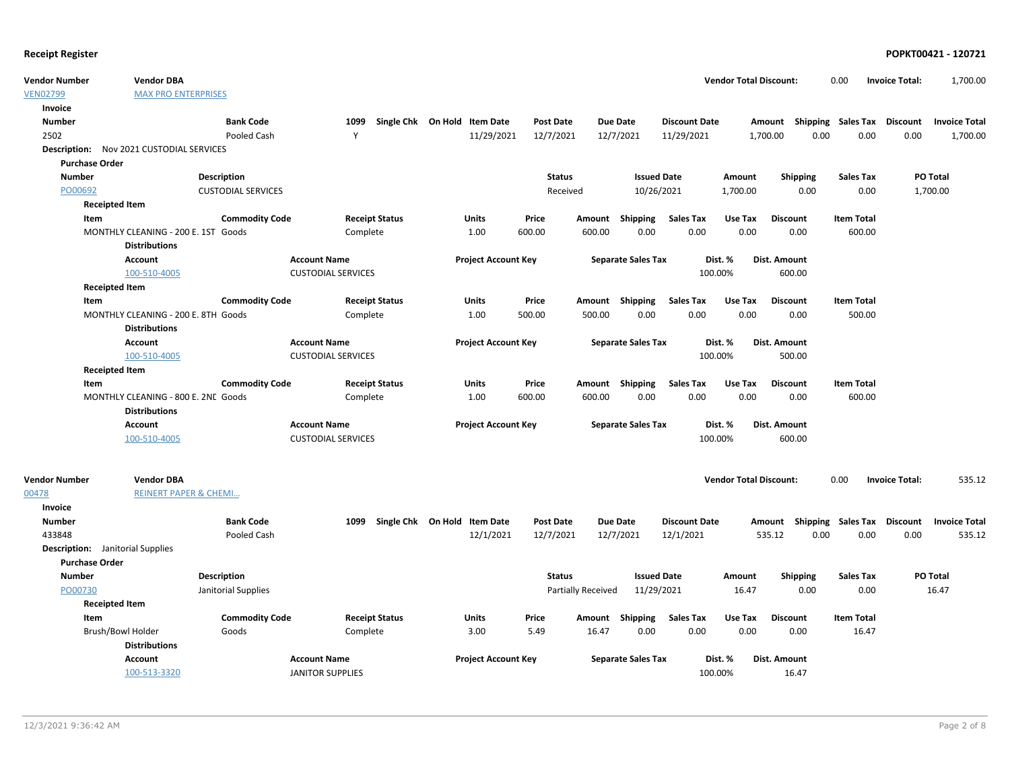| <b>Vendor Number</b>                    | <b>Vendor DBA</b>                        |                           |                           |                       |                              |                  |                    |                           |                      | <b>Vendor Total Discount:</b> |                           | 0.00              | <b>Invoice Total:</b> | 1,700.00             |
|-----------------------------------------|------------------------------------------|---------------------------|---------------------------|-----------------------|------------------------------|------------------|--------------------|---------------------------|----------------------|-------------------------------|---------------------------|-------------------|-----------------------|----------------------|
| <b>VEN02799</b>                         | <b>MAX PRO ENTERPRISES</b>               |                           |                           |                       |                              |                  |                    |                           |                      |                               |                           |                   |                       |                      |
| Invoice                                 |                                          |                           |                           |                       |                              |                  |                    |                           |                      |                               |                           |                   |                       |                      |
| <b>Number</b>                           |                                          | <b>Bank Code</b>          | 1099                      |                       | Single Chk On Hold Item Date | <b>Post Date</b> | <b>Due Date</b>    |                           | <b>Discount Date</b> |                               | Amount Shipping Sales Tax |                   | <b>Discount</b>       | <b>Invoice Total</b> |
| 2502                                    |                                          | Pooled Cash               | $\mathsf{Y}$              |                       | 11/29/2021                   | 12/7/2021        | 12/7/2021          |                           | 11/29/2021           | 1,700.00                      | 0.00                      | 0.00              | 0.00                  | 1,700.00             |
|                                         | Description: Nov 2021 CUSTODIAL SERVICES |                           |                           |                       |                              |                  |                    |                           |                      |                               |                           |                   |                       |                      |
| <b>Purchase Order</b>                   |                                          |                           |                           |                       |                              |                  |                    |                           |                      |                               |                           |                   |                       |                      |
| <b>Number</b>                           |                                          | <b>Description</b>        |                           |                       |                              | <b>Status</b>    |                    | <b>Issued Date</b>        |                      | Amount                        | Shipping                  | <b>Sales Tax</b>  |                       | PO Total             |
| PO00692                                 |                                          | <b>CUSTODIAL SERVICES</b> |                           |                       |                              | Received         |                    | 10/26/2021                |                      | 1,700.00                      | 0.00                      | 0.00              |                       | 1,700.00             |
|                                         | <b>Receipted Item</b>                    |                           |                           |                       |                              |                  |                    |                           |                      |                               |                           |                   |                       |                      |
| Item                                    |                                          | <b>Commodity Code</b>     |                           | <b>Receipt Status</b> | <b>Units</b>                 | Price            | Amount Shipping    |                           | <b>Sales Tax</b>     | Use Tax                       | <b>Discount</b>           | <b>Item Total</b> |                       |                      |
|                                         | MONTHLY CLEANING - 200 E. 1ST Goods      |                           | Complete                  |                       | 1.00                         | 600.00           | 600.00             | 0.00                      | 0.00                 | 0.00                          | 0.00                      | 600.00            |                       |                      |
|                                         | <b>Distributions</b>                     |                           |                           |                       |                              |                  |                    |                           |                      |                               |                           |                   |                       |                      |
|                                         | Account                                  |                           | <b>Account Name</b>       |                       | <b>Project Account Key</b>   |                  |                    | <b>Separate Sales Tax</b> | Dist. %              |                               | Dist. Amount              |                   |                       |                      |
|                                         | 100-510-4005                             |                           | <b>CUSTODIAL SERVICES</b> |                       |                              |                  |                    |                           | 100.00%              |                               | 600.00                    |                   |                       |                      |
|                                         | <b>Receipted Item</b>                    |                           |                           |                       |                              |                  |                    |                           |                      |                               |                           |                   |                       |                      |
| Item                                    |                                          | <b>Commodity Code</b>     |                           | <b>Receipt Status</b> | <b>Units</b>                 | Price            | Amount Shipping    |                           | <b>Sales Tax</b>     | Use Tax                       | <b>Discount</b>           | <b>Item Total</b> |                       |                      |
|                                         | MONTHLY CLEANING - 200 E. 8TH Goods      |                           | Complete                  |                       | 1.00                         | 500.00           | 500.00             | 0.00                      | 0.00                 | 0.00                          | 0.00                      | 500.00            |                       |                      |
|                                         | <b>Distributions</b>                     |                           |                           |                       |                              |                  |                    |                           |                      |                               |                           |                   |                       |                      |
|                                         | <b>Account</b>                           |                           | <b>Account Name</b>       |                       | <b>Project Account Key</b>   |                  |                    | <b>Separate Sales Tax</b> | Dist. %              |                               | Dist. Amount              |                   |                       |                      |
|                                         | 100-510-4005                             |                           | <b>CUSTODIAL SERVICES</b> |                       |                              |                  |                    |                           | 100.00%              |                               | 500.00                    |                   |                       |                      |
|                                         | <b>Receipted Item</b>                    |                           |                           |                       |                              |                  |                    |                           |                      |                               |                           |                   |                       |                      |
| Item                                    |                                          | <b>Commodity Code</b>     |                           | <b>Receipt Status</b> | Units                        | Price            | Amount Shipping    |                           | <b>Sales Tax</b>     | Use Tax                       | <b>Discount</b>           | <b>Item Total</b> |                       |                      |
|                                         | MONTHLY CLEANING - 800 E. 2NL Goods      |                           | Complete                  |                       | 1.00                         | 600.00           | 600.00             | 0.00                      | 0.00                 | 0.00                          | 0.00                      | 600.00            |                       |                      |
|                                         | <b>Distributions</b>                     |                           |                           |                       |                              |                  |                    |                           |                      |                               |                           |                   |                       |                      |
|                                         | Account                                  |                           | <b>Account Name</b>       |                       | <b>Project Account Key</b>   |                  |                    | <b>Separate Sales Tax</b> | Dist. %              |                               | Dist. Amount              |                   |                       |                      |
|                                         | 100-510-4005                             |                           | <b>CUSTODIAL SERVICES</b> |                       |                              |                  |                    |                           | 100.00%              |                               | 600.00                    |                   |                       |                      |
|                                         |                                          |                           |                           |                       |                              |                  |                    |                           |                      |                               |                           |                   |                       |                      |
| <b>Vendor Number</b>                    | <b>Vendor DBA</b>                        |                           |                           |                       |                              |                  |                    |                           |                      | <b>Vendor Total Discount:</b> |                           | 0.00              | <b>Invoice Total:</b> | 535.12               |
| 00478                                   | <b>REINERT PAPER &amp; CHEMI</b>         |                           |                           |                       |                              |                  |                    |                           |                      |                               |                           |                   |                       |                      |
| Invoice                                 |                                          |                           |                           |                       |                              |                  |                    |                           |                      |                               |                           |                   |                       |                      |
| Number                                  |                                          | <b>Bank Code</b>          | 1099                      |                       | Single Chk On Hold Item Date | <b>Post Date</b> | <b>Due Date</b>    |                           | <b>Discount Date</b> |                               | Amount Shipping Sales Tax |                   | Discount              | <b>Invoice Total</b> |
| 433848                                  |                                          | Pooled Cash               |                           |                       | 12/1/2021                    | 12/7/2021        | 12/7/2021          |                           | 12/1/2021            |                               | 535.12<br>0.00            | 0.00              | 0.00                  | 535.12               |
| <b>Description:</b> Janitorial Supplies |                                          |                           |                           |                       |                              |                  |                    |                           |                      |                               |                           |                   |                       |                      |
| <b>Purchase Order</b>                   |                                          |                           |                           |                       |                              |                  |                    |                           |                      |                               |                           |                   |                       |                      |
| <b>Number</b>                           |                                          | <b>Description</b>        |                           |                       |                              | <b>Status</b>    |                    | <b>Issued Date</b>        |                      | Amount                        | <b>Shipping</b>           | <b>Sales Tax</b>  |                       | <b>PO Total</b>      |
| PO00730                                 |                                          | Janitorial Supplies       |                           |                       |                              |                  | Partially Received | 11/29/2021                |                      | 16.47                         | 0.00                      | 0.00              |                       | 16.47                |
|                                         | <b>Receipted Item</b>                    |                           |                           |                       |                              |                  |                    |                           |                      |                               |                           |                   |                       |                      |
| Item                                    |                                          | <b>Commodity Code</b>     |                           | <b>Receipt Status</b> | Units                        | Price            | Amount Shipping    |                           | <b>Sales Tax</b>     | Use Tax                       | <b>Discount</b>           | <b>Item Total</b> |                       |                      |
|                                         | Brush/Bowl Holder                        | Goods                     | Complete                  |                       | 3.00                         | 5.49             | 16.47              | 0.00                      | 0.00                 | 0.00                          | 0.00                      | 16.47             |                       |                      |
|                                         | <b>Distributions</b>                     |                           |                           |                       |                              |                  |                    |                           |                      |                               |                           |                   |                       |                      |
|                                         | <b>Account</b>                           |                           | <b>Account Name</b>       |                       | <b>Project Account Key</b>   |                  |                    | <b>Separate Sales Tax</b> | Dist. %              |                               | Dist. Amount              |                   |                       |                      |
|                                         | 100-513-3320                             |                           | <b>JANITOR SUPPLIES</b>   |                       |                              |                  |                    |                           | 100.00%              |                               | 16.47                     |                   |                       |                      |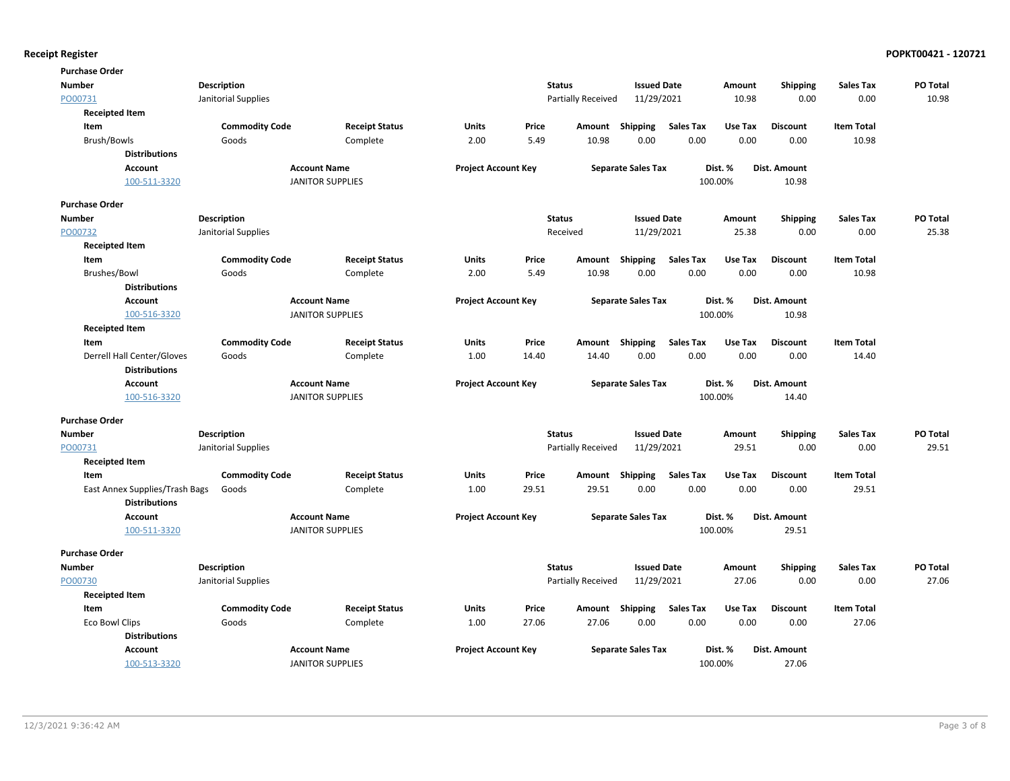| <b>Purchase Order</b>          |                       |                         |                            |               |                    |                           |                  |         |                     |                   |          |
|--------------------------------|-----------------------|-------------------------|----------------------------|---------------|--------------------|---------------------------|------------------|---------|---------------------|-------------------|----------|
| <b>Number</b>                  | <b>Description</b>    |                         |                            |               | <b>Status</b>      | <b>Issued Date</b>        |                  | Amount  | <b>Shipping</b>     | <b>Sales Tax</b>  | PO Total |
| PO00731                        | Janitorial Supplies   |                         |                            |               | Partially Received | 11/29/2021                |                  | 10.98   | 0.00                | 0.00              | 10.98    |
| <b>Receipted Item</b>          |                       |                         |                            |               |                    |                           |                  |         |                     |                   |          |
| Item                           | <b>Commodity Code</b> | <b>Receipt Status</b>   | Units                      | Price         | Amount             | Shipping                  | <b>Sales Tax</b> | Use Tax | <b>Discount</b>     | <b>Item Total</b> |          |
| Brush/Bowls                    | Goods                 | Complete                | 2.00                       | 5.49          | 10.98              | 0.00                      | 0.00             | 0.00    | 0.00                | 10.98             |          |
| <b>Distributions</b>           |                       |                         |                            |               |                    |                           |                  |         |                     |                   |          |
| <b>Account</b>                 |                       | <b>Account Name</b>     | <b>Project Account Key</b> |               |                    | <b>Separate Sales Tax</b> |                  | Dist. % | <b>Dist. Amount</b> |                   |          |
| 100-511-3320                   |                       | <b>JANITOR SUPPLIES</b> |                            |               |                    |                           |                  | 100.00% | 10.98               |                   |          |
| <b>Purchase Order</b>          |                       |                         |                            |               |                    |                           |                  |         |                     |                   |          |
| Number                         | <b>Description</b>    |                         |                            |               | <b>Status</b>      | <b>Issued Date</b>        |                  | Amount  | <b>Shipping</b>     | <b>Sales Tax</b>  | PO Total |
| PO00732                        | Janitorial Supplies   |                         |                            |               | Received           | 11/29/2021                |                  | 25.38   | 0.00                | 0.00              | 25.38    |
| <b>Receipted Item</b>          |                       |                         |                            |               |                    |                           |                  |         |                     |                   |          |
| Item                           | <b>Commodity Code</b> | <b>Receipt Status</b>   | <b>Units</b>               | Price         | Amount             | Shipping                  | <b>Sales Tax</b> | Use Tax | <b>Discount</b>     | <b>Item Total</b> |          |
| Brushes/Bowl                   | Goods                 | Complete                | 2.00                       | 5.49          | 10.98              | 0.00                      | 0.00             | 0.00    | 0.00                | 10.98             |          |
| <b>Distributions</b>           |                       |                         |                            |               |                    |                           |                  |         |                     |                   |          |
| Account                        |                       | <b>Account Name</b>     | <b>Project Account Key</b> |               |                    | <b>Separate Sales Tax</b> |                  | Dist. % | <b>Dist. Amount</b> |                   |          |
| 100-516-3320                   |                       | <b>JANITOR SUPPLIES</b> |                            |               |                    |                           |                  | 100.00% | 10.98               |                   |          |
| <b>Receipted Item</b>          |                       |                         |                            |               |                    |                           |                  |         |                     |                   |          |
| Item                           | <b>Commodity Code</b> | <b>Receipt Status</b>   | Units                      | Price         | Amount             | Shipping                  | <b>Sales Tax</b> | Use Tax | <b>Discount</b>     | <b>Item Total</b> |          |
| Derrell Hall Center/Gloves     | Goods                 | Complete                | 1.00                       | 14.40         | 14.40              | 0.00                      | 0.00             | 0.00    | 0.00                | 14.40             |          |
| <b>Distributions</b>           |                       |                         |                            |               |                    |                           |                  |         |                     |                   |          |
| <b>Account</b>                 |                       | <b>Account Name</b>     | <b>Project Account Key</b> |               |                    | <b>Separate Sales Tax</b> |                  | Dist. % | <b>Dist. Amount</b> |                   |          |
| 100-516-3320                   |                       | <b>JANITOR SUPPLIES</b> |                            |               |                    |                           |                  | 100.00% | 14.40               |                   |          |
| <b>Purchase Order</b>          |                       |                         |                            |               |                    |                           |                  |         |                     |                   |          |
| <b>Number</b>                  | Description           |                         |                            |               | <b>Status</b>      | <b>Issued Date</b>        |                  | Amount  | <b>Shipping</b>     | <b>Sales Tax</b>  | PO Total |
| PO00731                        | Janitorial Supplies   |                         |                            |               | Partially Received | 11/29/2021                |                  | 29.51   | 0.00                | 0.00              | 29.51    |
| <b>Receipted Item</b>          |                       |                         |                            |               |                    |                           |                  |         |                     |                   |          |
| Item                           | <b>Commodity Code</b> | <b>Receipt Status</b>   | Units                      | Price         | Amount             | Shipping                  | <b>Sales Tax</b> | Use Tax | <b>Discount</b>     | <b>Item Total</b> |          |
| East Annex Supplies/Trash Bags | Goods                 | Complete                | 1.00                       | 29.51         | 29.51              | 0.00                      | 0.00             | 0.00    | 0.00                | 29.51             |          |
| <b>Distributions</b>           |                       |                         |                            |               |                    |                           |                  |         |                     |                   |          |
| <b>Account</b>                 |                       | <b>Account Name</b>     | <b>Project Account Key</b> |               |                    | <b>Separate Sales Tax</b> |                  | Dist. % | Dist. Amount        |                   |          |
| 100-511-3320                   |                       | <b>JANITOR SUPPLIES</b> |                            |               |                    |                           |                  | 100.00% | 29.51               |                   |          |
| <b>Purchase Order</b>          |                       |                         |                            |               |                    |                           |                  |         |                     |                   |          |
| <b>Number</b>                  | <b>Description</b>    |                         |                            | <b>Status</b> |                    | <b>Issued Date</b>        |                  | Amount  | <b>Shipping</b>     | <b>Sales Tax</b>  | PO Total |
| PO00730                        | Janitorial Supplies   |                         |                            |               | Partially Received | 11/29/2021                |                  | 27.06   | 0.00                | 0.00              | 27.06    |
| <b>Receipted Item</b>          |                       |                         |                            |               |                    |                           |                  |         |                     |                   |          |
| Item                           | <b>Commodity Code</b> | <b>Receipt Status</b>   | Units                      | Price         | Amount             | <b>Shipping</b>           | <b>Sales Tax</b> | Use Tax | <b>Discount</b>     | <b>Item Total</b> |          |
| <b>Eco Bowl Clips</b>          | Goods                 | Complete                | 1.00                       | 27.06         | 27.06              | 0.00                      | 0.00             | 0.00    | 0.00                | 27.06             |          |
| <b>Distributions</b>           |                       |                         |                            |               |                    |                           |                  |         |                     |                   |          |
| <b>Account</b>                 |                       | <b>Account Name</b>     | <b>Project Account Key</b> |               |                    | <b>Separate Sales Tax</b> |                  | Dist. % | Dist. Amount        |                   |          |
|                                |                       |                         |                            |               |                    |                           |                  |         |                     |                   |          |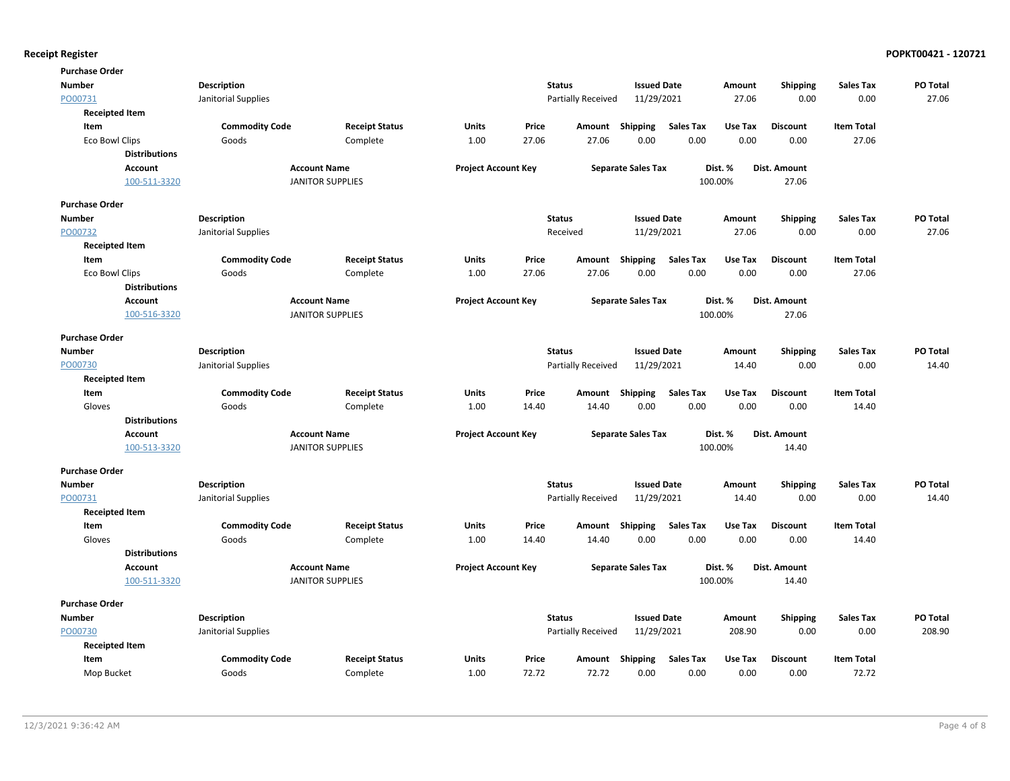| <b>Purchase Order</b> |                      |                       |                         |                            |       |                    |                           |                  |         |                 |                   |          |
|-----------------------|----------------------|-----------------------|-------------------------|----------------------------|-------|--------------------|---------------------------|------------------|---------|-----------------|-------------------|----------|
| <b>Number</b>         |                      | <b>Description</b>    |                         |                            |       | <b>Status</b>      | <b>Issued Date</b>        |                  | Amount  | <b>Shipping</b> | Sales Tax         | PO Total |
| PO00731               |                      | Janitorial Supplies   |                         |                            |       | Partially Received | 11/29/2021                |                  | 27.06   | 0.00            | 0.00              | 27.06    |
| <b>Receipted Item</b> |                      |                       |                         |                            |       |                    |                           |                  |         |                 |                   |          |
| Item                  |                      | <b>Commodity Code</b> | <b>Receipt Status</b>   | Units                      | Price | Amount Shipping    |                           | <b>Sales Tax</b> | Use Tax | <b>Discount</b> | <b>Item Total</b> |          |
| <b>Eco Bowl Clips</b> |                      | Goods                 | Complete                | 1.00                       | 27.06 | 27.06              | 0.00                      | 0.00             | 0.00    | 0.00            | 27.06             |          |
|                       | <b>Distributions</b> |                       |                         |                            |       |                    |                           |                  |         |                 |                   |          |
|                       | <b>Account</b>       |                       | <b>Account Name</b>     | <b>Project Account Key</b> |       |                    | <b>Separate Sales Tax</b> |                  | Dist. % | Dist. Amount    |                   |          |
|                       | 100-511-3320         |                       | <b>JANITOR SUPPLIES</b> |                            |       |                    |                           |                  | 100.00% | 27.06           |                   |          |
|                       |                      |                       |                         |                            |       |                    |                           |                  |         |                 |                   |          |
| <b>Purchase Order</b> |                      |                       |                         |                            |       |                    |                           |                  |         |                 |                   |          |
| <b>Number</b>         |                      | <b>Description</b>    |                         |                            |       | <b>Status</b>      | <b>Issued Date</b>        |                  | Amount  | <b>Shipping</b> | <b>Sales Tax</b>  | PO Total |
| PO00732               |                      | Janitorial Supplies   |                         |                            |       | Received           | 11/29/2021                |                  | 27.06   | 0.00            | 0.00              | 27.06    |
| <b>Receipted Item</b> |                      |                       |                         |                            |       |                    |                           |                  |         |                 |                   |          |
| Item                  |                      | <b>Commodity Code</b> | <b>Receipt Status</b>   | Units                      | Price | Amount Shipping    |                           | <b>Sales Tax</b> | Use Tax | <b>Discount</b> | <b>Item Total</b> |          |
| <b>Eco Bowl Clips</b> |                      | Goods                 | Complete                | 1.00                       | 27.06 | 27.06              | 0.00                      | 0.00             | 0.00    | 0.00            | 27.06             |          |
|                       | <b>Distributions</b> |                       |                         |                            |       |                    |                           |                  |         |                 |                   |          |
|                       | Account              |                       | <b>Account Name</b>     | <b>Project Account Key</b> |       |                    | <b>Separate Sales Tax</b> |                  | Dist. % | Dist. Amount    |                   |          |
|                       | 100-516-3320         |                       | <b>JANITOR SUPPLIES</b> |                            |       |                    |                           |                  | 100.00% | 27.06           |                   |          |
| <b>Purchase Order</b> |                      |                       |                         |                            |       |                    |                           |                  |         |                 |                   |          |
| <b>Number</b>         |                      | <b>Description</b>    |                         |                            |       | <b>Status</b>      | <b>Issued Date</b>        |                  | Amount  | <b>Shipping</b> | <b>Sales Tax</b>  | PO Total |
| PO00730               |                      | Janitorial Supplies   |                         |                            |       | Partially Received | 11/29/2021                |                  | 14.40   | 0.00            | 0.00              | 14.40    |
| <b>Receipted Item</b> |                      |                       |                         |                            |       |                    |                           |                  |         |                 |                   |          |
| Item                  |                      | <b>Commodity Code</b> | <b>Receipt Status</b>   | Units                      | Price | Amount             | Shipping                  | <b>Sales Tax</b> | Use Tax | <b>Discount</b> | <b>Item Total</b> |          |
| Gloves                |                      | Goods                 | Complete                | 1.00                       | 14.40 | 14.40              | 0.00                      | 0.00             | 0.00    | 0.00            | 14.40             |          |
|                       | <b>Distributions</b> |                       |                         |                            |       |                    |                           |                  |         |                 |                   |          |
|                       | <b>Account</b>       |                       | <b>Account Name</b>     |                            |       |                    |                           |                  | Dist. % | Dist. Amount    |                   |          |
|                       |                      |                       |                         | <b>Project Account Key</b> |       |                    | <b>Separate Sales Tax</b> |                  |         |                 |                   |          |
|                       | 100-513-3320         |                       | <b>JANITOR SUPPLIES</b> |                            |       |                    |                           |                  | 100.00% | 14.40           |                   |          |
| <b>Purchase Order</b> |                      |                       |                         |                            |       |                    |                           |                  |         |                 |                   |          |
| <b>Number</b>         |                      | <b>Description</b>    |                         |                            |       | <b>Status</b>      | <b>Issued Date</b>        |                  | Amount  | <b>Shipping</b> | <b>Sales Tax</b>  | PO Total |
| PO00731               |                      | Janitorial Supplies   |                         |                            |       | Partially Received | 11/29/2021                |                  | 14.40   | 0.00            | 0.00              | 14.40    |
| <b>Receipted Item</b> |                      |                       |                         |                            |       |                    |                           |                  |         |                 |                   |          |
| Item                  |                      | <b>Commodity Code</b> | <b>Receipt Status</b>   | Units                      | Price | Amount             | Shipping                  | <b>Sales Tax</b> | Use Tax | <b>Discount</b> | <b>Item Total</b> |          |
| Gloves                |                      | Goods                 | Complete                | 1.00                       | 14.40 | 14.40              | 0.00                      | 0.00             | 0.00    | 0.00            | 14.40             |          |
|                       | <b>Distributions</b> |                       |                         |                            |       |                    |                           |                  |         |                 |                   |          |
|                       | Account              |                       | <b>Account Name</b>     | <b>Project Account Key</b> |       |                    | <b>Separate Sales Tax</b> |                  | Dist. % | Dist. Amount    |                   |          |
|                       | 100-511-3320         |                       | <b>JANITOR SUPPLIES</b> |                            |       |                    |                           |                  | 100.00% | 14.40           |                   |          |
|                       |                      |                       |                         |                            |       |                    |                           |                  |         |                 |                   |          |
| <b>Purchase Order</b> |                      |                       |                         |                            |       |                    |                           |                  |         |                 |                   |          |
| <b>Number</b>         |                      | <b>Description</b>    |                         |                            |       | <b>Status</b>      | <b>Issued Date</b>        |                  | Amount  | <b>Shipping</b> | <b>Sales Tax</b>  | PO Total |
| PO00730               |                      | Janitorial Supplies   |                         |                            |       | Partially Received | 11/29/2021                |                  | 208.90  | 0.00            | 0.00              | 208.90   |
| <b>Receipted Item</b> |                      |                       |                         |                            |       |                    |                           |                  |         |                 |                   |          |
| Item                  |                      | <b>Commodity Code</b> | <b>Receipt Status</b>   | Units                      | Price | Amount             | <b>Shipping</b>           | <b>Sales Tax</b> | Use Tax | <b>Discount</b> | <b>Item Total</b> |          |
| Mop Bucket            |                      | Goods                 | Complete                | 1.00                       | 72.72 | 72.72              | 0.00                      | 0.00             | 0.00    | 0.00            | 72.72             |          |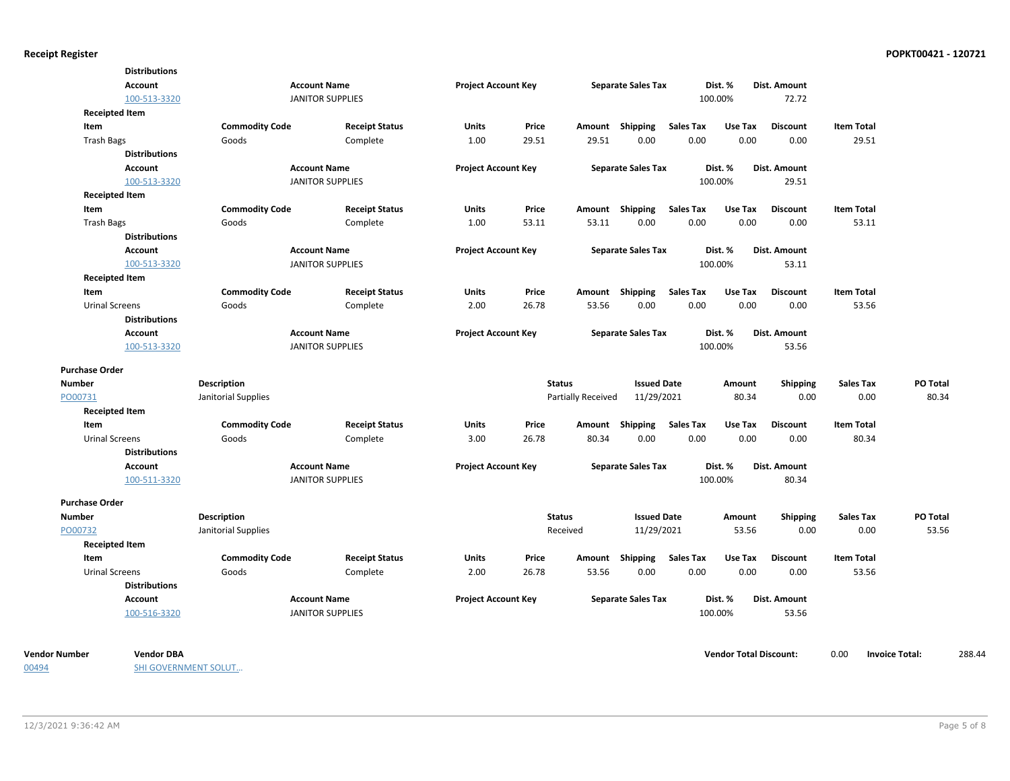| <b>Distributions</b>  |                       |                         |                            |       |                           |                           |                  |         |                 |                   |          |
|-----------------------|-----------------------|-------------------------|----------------------------|-------|---------------------------|---------------------------|------------------|---------|-----------------|-------------------|----------|
| <b>Account</b>        |                       | <b>Account Name</b>     | <b>Project Account Key</b> |       |                           | <b>Separate Sales Tax</b> |                  | Dist. % | Dist. Amount    |                   |          |
| 100-513-3320          |                       | <b>JANITOR SUPPLIES</b> |                            |       |                           |                           |                  | 100.00% | 72.72           |                   |          |
| <b>Receipted Item</b> |                       |                         |                            |       |                           |                           |                  |         |                 |                   |          |
| Item                  | <b>Commodity Code</b> | <b>Receipt Status</b>   | Units                      | Price |                           | Amount Shipping           | <b>Sales Tax</b> | Use Tax | <b>Discount</b> | <b>Item Total</b> |          |
| <b>Trash Bags</b>     | Goods                 | Complete                | 1.00                       | 29.51 | 29.51                     | 0.00                      | 0.00             | 0.00    | 0.00            | 29.51             |          |
| <b>Distributions</b>  |                       |                         |                            |       |                           |                           |                  |         |                 |                   |          |
| Account               |                       | <b>Account Name</b>     | <b>Project Account Key</b> |       |                           | <b>Separate Sales Tax</b> |                  | Dist. % | Dist. Amount    |                   |          |
| 100-513-3320          |                       | <b>JANITOR SUPPLIES</b> |                            |       |                           |                           |                  | 100.00% | 29.51           |                   |          |
| <b>Receipted Item</b> |                       |                         |                            |       |                           |                           |                  |         |                 |                   |          |
| Item                  | <b>Commodity Code</b> | <b>Receipt Status</b>   | Units                      | Price | Amount                    | Shipping                  | <b>Sales Tax</b> | Use Tax | <b>Discount</b> | <b>Item Total</b> |          |
| <b>Trash Bags</b>     | Goods                 | Complete                | 1.00                       | 53.11 | 53.11                     | 0.00                      | 0.00             | 0.00    | 0.00            | 53.11             |          |
| <b>Distributions</b>  |                       |                         |                            |       |                           |                           |                  |         |                 |                   |          |
| <b>Account</b>        |                       | <b>Account Name</b>     | <b>Project Account Key</b> |       |                           | <b>Separate Sales Tax</b> |                  | Dist. % | Dist. Amount    |                   |          |
| 100-513-3320          |                       | <b>JANITOR SUPPLIES</b> |                            |       |                           |                           |                  | 100.00% | 53.11           |                   |          |
| <b>Receipted Item</b> |                       |                         |                            |       |                           |                           |                  |         |                 |                   |          |
| Item                  | <b>Commodity Code</b> | <b>Receipt Status</b>   | Units                      | Price | Amount                    | <b>Shipping</b>           | <b>Sales Tax</b> | Use Tax | <b>Discount</b> | <b>Item Total</b> |          |
| <b>Urinal Screens</b> | Goods                 | Complete                | 2.00                       | 26.78 | 53.56                     | 0.00                      | 0.00             | 0.00    | 0.00            | 53.56             |          |
| <b>Distributions</b>  |                       |                         |                            |       |                           |                           |                  |         |                 |                   |          |
| <b>Account</b>        |                       | <b>Account Name</b>     | <b>Project Account Key</b> |       |                           | <b>Separate Sales Tax</b> |                  | Dist. % | Dist. Amount    |                   |          |
| 100-513-3320          |                       | <b>JANITOR SUPPLIES</b> |                            |       |                           |                           |                  | 100.00% | 53.56           |                   |          |
| <b>Purchase Order</b> |                       |                         |                            |       |                           |                           |                  |         |                 |                   |          |
| <b>Number</b>         | <b>Description</b>    |                         |                            |       | <b>Status</b>             | <b>Issued Date</b>        |                  | Amount  | <b>Shipping</b> | <b>Sales Tax</b>  | PO Total |
| PO00731               | Janitorial Supplies   |                         |                            |       | <b>Partially Received</b> | 11/29/2021                |                  | 80.34   | 0.00            | 0.00              | 80.34    |
| <b>Receipted Item</b> |                       |                         |                            |       |                           |                           |                  |         |                 |                   |          |
| Item                  | <b>Commodity Code</b> | <b>Receipt Status</b>   | <b>Units</b>               | Price | Amount                    | Shipping                  | <b>Sales Tax</b> | Use Tax | <b>Discount</b> | <b>Item Total</b> |          |
| <b>Urinal Screens</b> | Goods                 | Complete                | 3.00                       | 26.78 | 80.34                     | 0.00                      | 0.00             | 0.00    | 0.00            | 80.34             |          |
| <b>Distributions</b>  |                       |                         |                            |       |                           |                           |                  |         |                 |                   |          |
| <b>Account</b>        |                       | <b>Account Name</b>     | <b>Project Account Key</b> |       |                           | <b>Separate Sales Tax</b> |                  | Dist. % | Dist. Amount    |                   |          |
| 100-511-3320          |                       | <b>JANITOR SUPPLIES</b> |                            |       |                           |                           |                  | 100.00% | 80.34           |                   |          |
|                       |                       |                         |                            |       |                           |                           |                  |         |                 |                   |          |
| <b>Purchase Order</b> |                       |                         |                            |       |                           |                           |                  |         |                 |                   |          |
| <b>Number</b>         | <b>Description</b>    |                         |                            |       | <b>Status</b>             | <b>Issued Date</b>        |                  | Amount  | <b>Shipping</b> | <b>Sales Tax</b>  | PO Total |
| PO00732               | Janitorial Supplies   |                         |                            |       | Received                  | 11/29/2021                |                  | 53.56   | 0.00            | 0.00              | 53.56    |
| <b>Receipted Item</b> |                       |                         |                            |       |                           |                           |                  |         |                 |                   |          |
| Item                  | <b>Commodity Code</b> | <b>Receipt Status</b>   | Units                      | Price | Amount                    | <b>Shipping</b>           | <b>Sales Tax</b> | Use Tax | <b>Discount</b> | <b>Item Total</b> |          |
| <b>Urinal Screens</b> | Goods                 | Complete                | 2.00                       | 26.78 | 53.56                     | 0.00                      | 0.00             | 0.00    | 0.00            | 53.56             |          |
| <b>Distributions</b>  |                       |                         |                            |       |                           |                           |                  |         |                 |                   |          |
| <b>Account</b>        |                       | <b>Account Name</b>     | <b>Project Account Key</b> |       |                           | <b>Separate Sales Tax</b> |                  | Dist. % | Dist. Amount    |                   |          |
| 100-516-3320          |                       | <b>JANITOR SUPPLIES</b> |                            |       |                           |                           |                  | 100.00% | 53.56           |                   |          |
|                       |                       |                         |                            |       |                           |                           |                  |         |                 |                   |          |
|                       |                       |                         |                            |       |                           |                           |                  |         |                 |                   |          |

00494

SHI GOVERNMENT SOLUT…

**Vendor Number Vendor Total Discount:** 288.44 **Vendor DBA** 0.00 **Invoice Total:**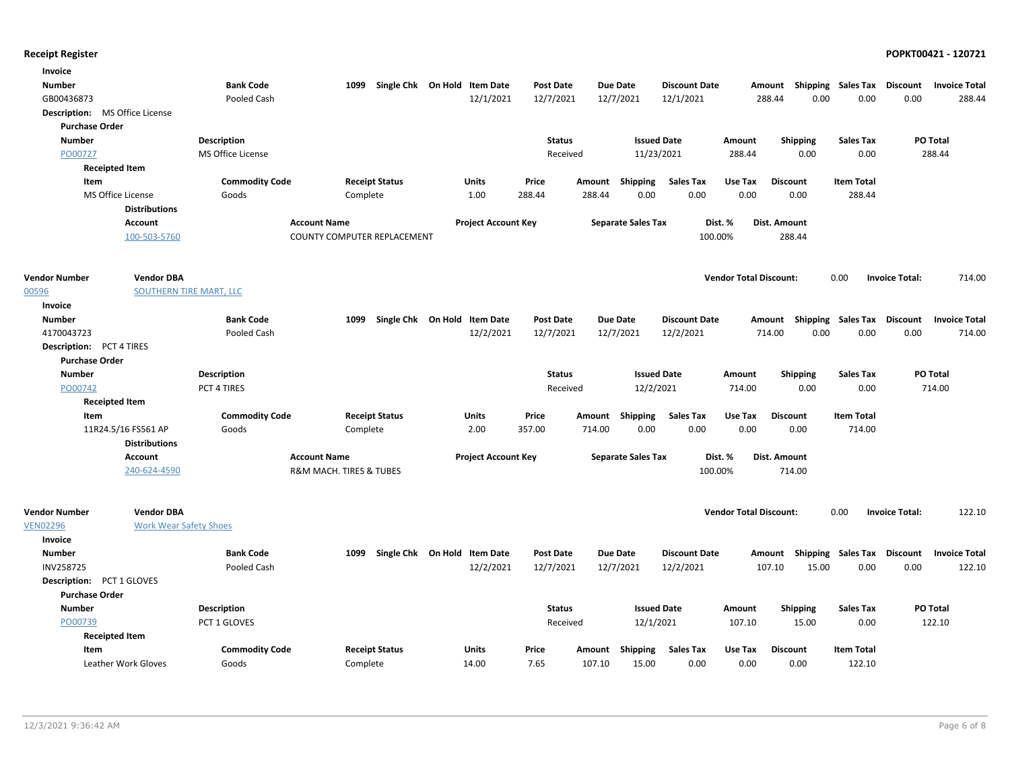| Invoice                               |                                |                          |                             |                              |                            |                  |        |                           |                      |                               |                                    |                    |                       |                      |
|---------------------------------------|--------------------------------|--------------------------|-----------------------------|------------------------------|----------------------------|------------------|--------|---------------------------|----------------------|-------------------------------|------------------------------------|--------------------|-----------------------|----------------------|
| Number                                |                                | <b>Bank Code</b>         | 1099                        | Single Chk On Hold Item Date |                            | <b>Post Date</b> |        | <b>Due Date</b>           | <b>Discount Date</b> |                               | Amount Shipping Sales Tax Discount |                    |                       | <b>Invoice Total</b> |
| GB00436873                            |                                | Pooled Cash              |                             |                              | 12/1/2021                  | 12/7/2021        |        | 12/7/2021                 | 12/1/2021            |                               | 288.44<br>0.00                     | 0.00               | 0.00                  | 288.44               |
| <b>Description:</b> MS Office License |                                |                          |                             |                              |                            |                  |        |                           |                      |                               |                                    |                    |                       |                      |
| <b>Purchase Order</b>                 |                                |                          |                             |                              |                            |                  |        |                           |                      |                               |                                    |                    |                       |                      |
| <b>Number</b>                         |                                | <b>Description</b>       |                             |                              |                            | <b>Status</b>    |        | <b>Issued Date</b>        |                      | Amount                        | <b>Shipping</b>                    | <b>Sales Tax</b>   |                       | <b>PO Total</b>      |
| PO00727                               |                                | <b>MS Office License</b> |                             |                              |                            | Received         |        | 11/23/2021                |                      | 288.44                        | 0.00                               | 0.00               |                       | 288.44               |
|                                       | <b>Receipted Item</b>          |                          |                             |                              |                            |                  |        |                           |                      |                               |                                    |                    |                       |                      |
| Item                                  |                                | <b>Commodity Code</b>    | <b>Receipt Status</b>       |                              | Units                      | Price            | Amount | <b>Shipping</b>           | <b>Sales Tax</b>     | Use Tax                       | <b>Discount</b>                    | <b>Item Total</b>  |                       |                      |
|                                       | MS Office License              | Goods                    | Complete                    |                              | 1.00                       | 288.44           | 288.44 | 0.00                      | 0.00                 | 0.00                          | 0.00                               | 288.44             |                       |                      |
|                                       | <b>Distributions</b>           |                          |                             |                              |                            |                  |        |                           |                      |                               |                                    |                    |                       |                      |
|                                       | <b>Account</b>                 |                          | <b>Account Name</b>         |                              | <b>Project Account Key</b> |                  |        | <b>Separate Sales Tax</b> | Dist. %              |                               | Dist. Amount                       |                    |                       |                      |
|                                       | 100-503-5760                   |                          | COUNTY COMPUTER REPLACEMENT |                              |                            |                  |        |                           | 100.00%              |                               | 288.44                             |                    |                       |                      |
| <b>Vendor Number</b>                  | <b>Vendor DBA</b>              |                          |                             |                              |                            |                  |        |                           |                      | <b>Vendor Total Discount:</b> |                                    | 0.00               | <b>Invoice Total:</b> | 714.00               |
| 00596                                 | <b>SOUTHERN TIRE MART, LLC</b> |                          |                             |                              |                            |                  |        |                           |                      |                               |                                    |                    |                       |                      |
| Invoice                               |                                |                          |                             |                              |                            |                  |        |                           |                      |                               |                                    |                    |                       |                      |
| <b>Number</b>                         |                                | <b>Bank Code</b>         | 1099                        | Single Chk On Hold Item Date |                            | Post Date        |        | <b>Due Date</b>           | <b>Discount Date</b> |                               | Amount Shipping Sales Tax Discount |                    |                       | <b>Invoice Total</b> |
| 4170043723                            |                                | Pooled Cash              |                             |                              | 12/2/2021                  | 12/7/2021        |        | 12/7/2021                 | 12/2/2021            |                               | 714.00<br>0.00                     | 0.00               | 0.00                  | 714.00               |
| <b>Description:</b> PCT 4 TIRES       |                                |                          |                             |                              |                            |                  |        |                           |                      |                               |                                    |                    |                       |                      |
| <b>Purchase Order</b>                 |                                |                          |                             |                              |                            |                  |        |                           |                      |                               |                                    |                    |                       |                      |
| <b>Number</b>                         |                                | <b>Description</b>       |                             |                              |                            | <b>Status</b>    |        | <b>Issued Date</b>        |                      | Amount                        | Shipping                           | Sales Tax          |                       | <b>PO Total</b>      |
| PO00742                               |                                | PCT 4 TIRES              |                             |                              |                            | Received         |        | 12/2/2021                 |                      | 714.00                        | 0.00                               | 0.00               |                       | 714.00               |
|                                       | <b>Receipted Item</b>          |                          |                             |                              |                            |                  |        |                           |                      |                               |                                    |                    |                       |                      |
| Item                                  |                                | <b>Commodity Code</b>    | <b>Receipt Status</b>       |                              | Units                      | Price            |        | Amount Shipping           | Sales Tax            | Use Tax                       | <b>Discount</b>                    | <b>Item Total</b>  |                       |                      |
|                                       | 11R24.5/16 FS561 AP            | Goods                    | Complete                    |                              | 2.00                       | 357.00           | 714.00 | 0.00                      | 0.00                 | 0.00                          | 0.00                               | 714.00             |                       |                      |
|                                       | <b>Distributions</b>           |                          |                             |                              |                            |                  |        |                           |                      |                               |                                    |                    |                       |                      |
|                                       | <b>Account</b>                 |                          | <b>Account Name</b>         |                              | <b>Project Account Key</b> |                  |        | <b>Separate Sales Tax</b> |                      | Dist. %                       | Dist. Amount                       |                    |                       |                      |
|                                       | 240-624-4590                   |                          | R&M MACH. TIRES & TUBES     |                              |                            |                  |        |                           | 100.00%              |                               | 714.00                             |                    |                       |                      |
| <b>Vendor Number</b>                  | <b>Vendor DBA</b>              |                          |                             |                              |                            |                  |        |                           |                      | <b>Vendor Total Discount:</b> |                                    | 0.00               | <b>Invoice Total:</b> | 122.10               |
| <b>VEN02296</b>                       | <b>Work Wear Safety Shoes</b>  |                          |                             |                              |                            |                  |        |                           |                      |                               |                                    |                    |                       |                      |
| Invoice                               |                                |                          |                             |                              |                            |                  |        |                           |                      |                               |                                    |                    |                       |                      |
| <b>Number</b>                         |                                | <b>Bank Code</b>         | 1099                        | Single Chk On Hold Item Date |                            | <b>Post Date</b> |        | <b>Due Date</b>           | <b>Discount Date</b> |                               | Amount                             | Shipping Sales Tax | Discount              | <b>Invoice Total</b> |
| <b>INV258725</b>                      |                                | Pooled Cash              |                             |                              | 12/2/2021                  | 12/7/2021        |        | 12/7/2021                 | 12/2/2021            |                               | 107.10<br>15.00                    | 0.00               | 0.00                  | 122.10               |
| Description: PCT 1 GLOVES             |                                |                          |                             |                              |                            |                  |        |                           |                      |                               |                                    |                    |                       |                      |
| <b>Purchase Order</b>                 |                                |                          |                             |                              |                            |                  |        |                           |                      |                               |                                    |                    |                       |                      |
| <b>Number</b>                         |                                | Description              |                             |                              |                            | <b>Status</b>    |        | <b>Issued Date</b>        |                      | Amount                        | <b>Shipping</b>                    | <b>Sales Tax</b>   |                       | PO Total             |
| PO00739                               |                                | PCT 1 GLOVES             |                             |                              |                            | Received         |        | 12/1/2021                 |                      | 107.10                        | 15.00                              | 0.00               |                       | 122.10               |
|                                       | <b>Receipted Item</b>          |                          |                             |                              |                            |                  |        |                           |                      |                               |                                    |                    |                       |                      |
| Item                                  |                                | <b>Commodity Code</b>    | <b>Receipt Status</b>       |                              | Units                      | Price            | Amount | Shipping                  | <b>Sales Tax</b>     | Use Tax                       | <b>Discount</b>                    | <b>Item Total</b>  |                       |                      |
|                                       | Leather Work Gloves            | Goods                    | Complete                    |                              | 14.00                      | 7.65             | 107.10 | 15.00                     | 0.00                 | 0.00                          | 0.00                               | 122.10             |                       |                      |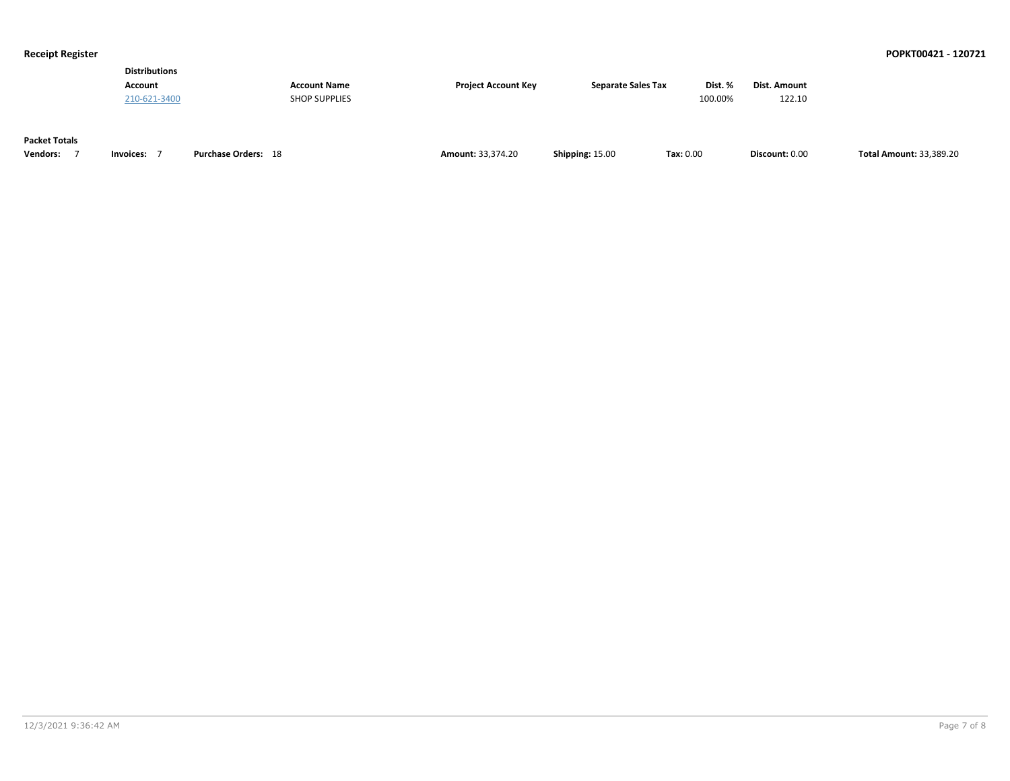| <b>Distributions</b> |                      |                            |                           |         |              |
|----------------------|----------------------|----------------------------|---------------------------|---------|--------------|
| Account              | <b>Account Name</b>  | <b>Project Account Key</b> | <b>Separate Sales Tax</b> | Dist. % | Dist. Amount |
| 210-621-3400         | <b>SHOP SUPPLIES</b> |                            |                           | 100.00% | 122.10       |
|                      |                      |                            |                           |         |              |

### **Packet Totals**

| <b>Vendors:</b> | Invoices: | <b>Purchase Orders:</b><br>πo | <b>Amount: 33,374.20</b> | Shipping: 15.00 | Tax: 0.00 | Discount: 0.00 | <b>Total Amount: 33,389.20</b> |
|-----------------|-----------|-------------------------------|--------------------------|-----------------|-----------|----------------|--------------------------------|
|-----------------|-----------|-------------------------------|--------------------------|-----------------|-----------|----------------|--------------------------------|